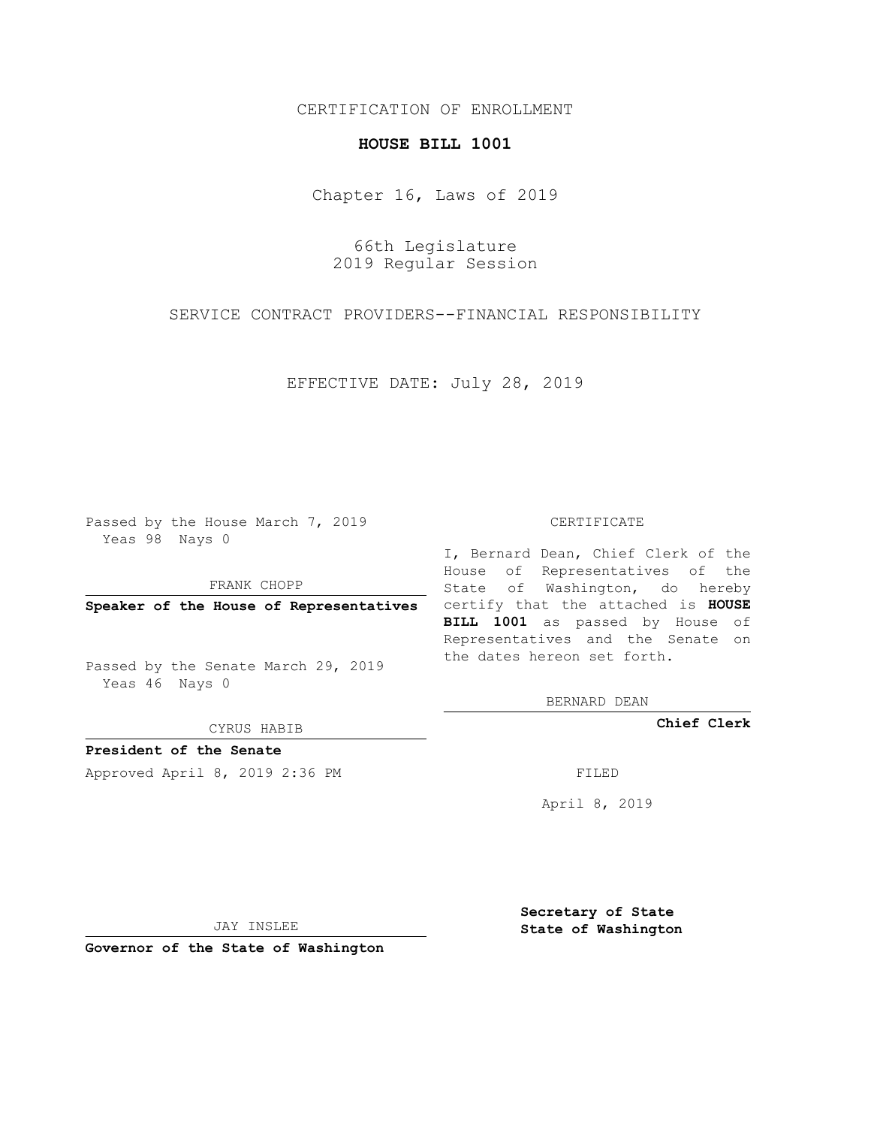## CERTIFICATION OF ENROLLMENT

## **HOUSE BILL 1001**

Chapter 16, Laws of 2019

66th Legislature 2019 Regular Session

SERVICE CONTRACT PROVIDERS--FINANCIAL RESPONSIBILITY

EFFECTIVE DATE: July 28, 2019

Passed by the House March 7, 2019 Yeas 98 Nays 0

FRANK CHOPP

Passed by the Senate March 29, 2019 Yeas 46 Nays 0

CYRUS HABIB

**President of the Senate**

Approved April 8, 2019 2:36 PM FILED

## CERTIFICATE

**Speaker of the House of Representatives** certify that the attached is **HOUSE** I, Bernard Dean, Chief Clerk of the House of Representatives of the State of Washington, do hereby **BILL 1001** as passed by House of Representatives and the Senate on the dates hereon set forth.

BERNARD DEAN

**Chief Clerk**

April 8, 2019

JAY INSLEE

**Governor of the State of Washington**

**Secretary of State State of Washington**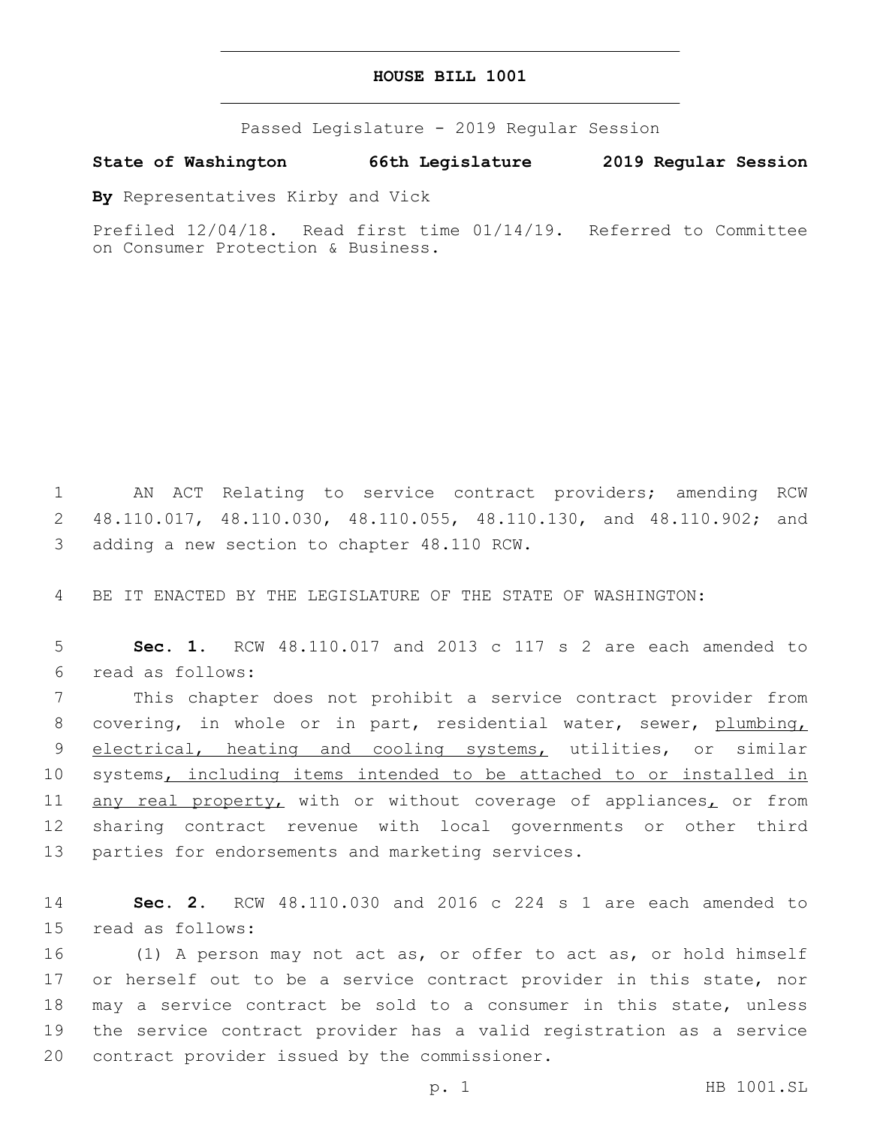## **HOUSE BILL 1001**

Passed Legislature - 2019 Regular Session

**State of Washington 66th Legislature 2019 Regular Session**

**By** Representatives Kirby and Vick

Prefiled 12/04/18. Read first time 01/14/19. Referred to Committee on Consumer Protection & Business.

1 AN ACT Relating to service contract providers; amending RCW 2 48.110.017, 48.110.030, 48.110.055, 48.110.130, and 48.110.902; and 3 adding a new section to chapter 48.110 RCW.

4 BE IT ENACTED BY THE LEGISLATURE OF THE STATE OF WASHINGTON:

5 **Sec. 1.** RCW 48.110.017 and 2013 c 117 s 2 are each amended to read as follows:6

7 This chapter does not prohibit a service contract provider from 8 covering, in whole or in part, residential water, sewer, plumbing, 9 electrical, heating and cooling systems, utilities, or similar 10 systems, including items intended to be attached to or installed in 11 any real property, with or without coverage of appliances, or from 12 sharing contract revenue with local governments or other third 13 parties for endorsements and marketing services.

14 **Sec. 2.** RCW 48.110.030 and 2016 c 224 s 1 are each amended to 15 read as follows:

16 (1) A person may not act as, or offer to act as, or hold himself 17 or herself out to be a service contract provider in this state, nor 18 may a service contract be sold to a consumer in this state, unless 19 the service contract provider has a valid registration as a service 20 contract provider issued by the commissioner.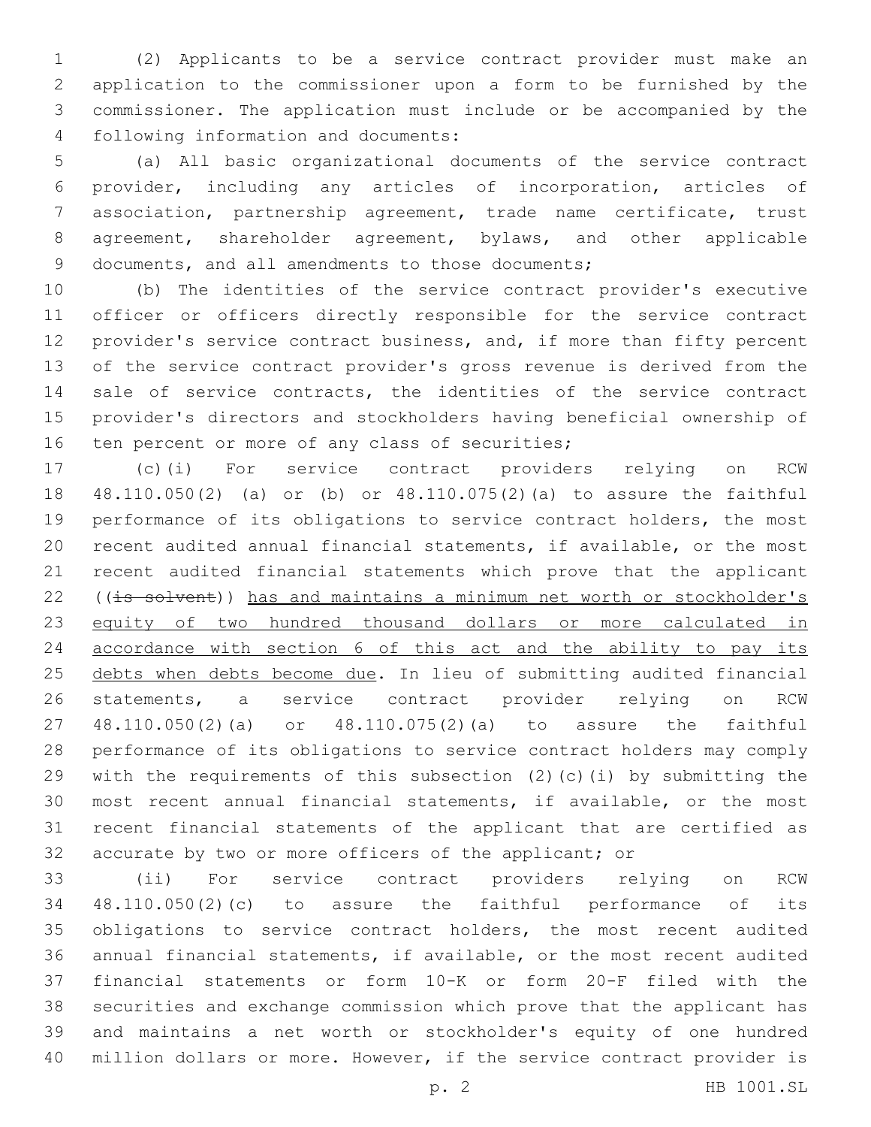(2) Applicants to be a service contract provider must make an application to the commissioner upon a form to be furnished by the commissioner. The application must include or be accompanied by the following information and documents:4

 (a) All basic organizational documents of the service contract provider, including any articles of incorporation, articles of association, partnership agreement, trade name certificate, trust agreement, shareholder agreement, bylaws, and other applicable 9 documents, and all amendments to those documents;

 (b) The identities of the service contract provider's executive officer or officers directly responsible for the service contract 12 provider's service contract business, and, if more than fifty percent of the service contract provider's gross revenue is derived from the 14 sale of service contracts, the identities of the service contract provider's directors and stockholders having beneficial ownership of 16 ten percent or more of any class of securities;

 (c)(i) For service contract providers relying on RCW 48.110.050(2) (a) or (b) or 48.110.075(2)(a) to assure the faithful performance of its obligations to service contract holders, the most recent audited annual financial statements, if available, or the most recent audited financial statements which prove that the applicant 22 ((is solvent)) has and maintains a minimum net worth or stockholder's 23 equity of two hundred thousand dollars or more calculated in accordance with section 6 of this act and the ability to pay its 25 debts when debts become due. In lieu of submitting audited financial statements, a service contract provider relying on RCW 48.110.050(2)(a) or 48.110.075(2)(a) to assure the faithful performance of its obligations to service contract holders may comply with the requirements of this subsection (2)(c)(i) by submitting the most recent annual financial statements, if available, or the most recent financial statements of the applicant that are certified as accurate by two or more officers of the applicant; or

 (ii) For service contract providers relying on RCW 48.110.050(2)(c) to assure the faithful performance of its obligations to service contract holders, the most recent audited annual financial statements, if available, or the most recent audited financial statements or form 10-K or form 20-F filed with the securities and exchange commission which prove that the applicant has and maintains a net worth or stockholder's equity of one hundred million dollars or more. However, if the service contract provider is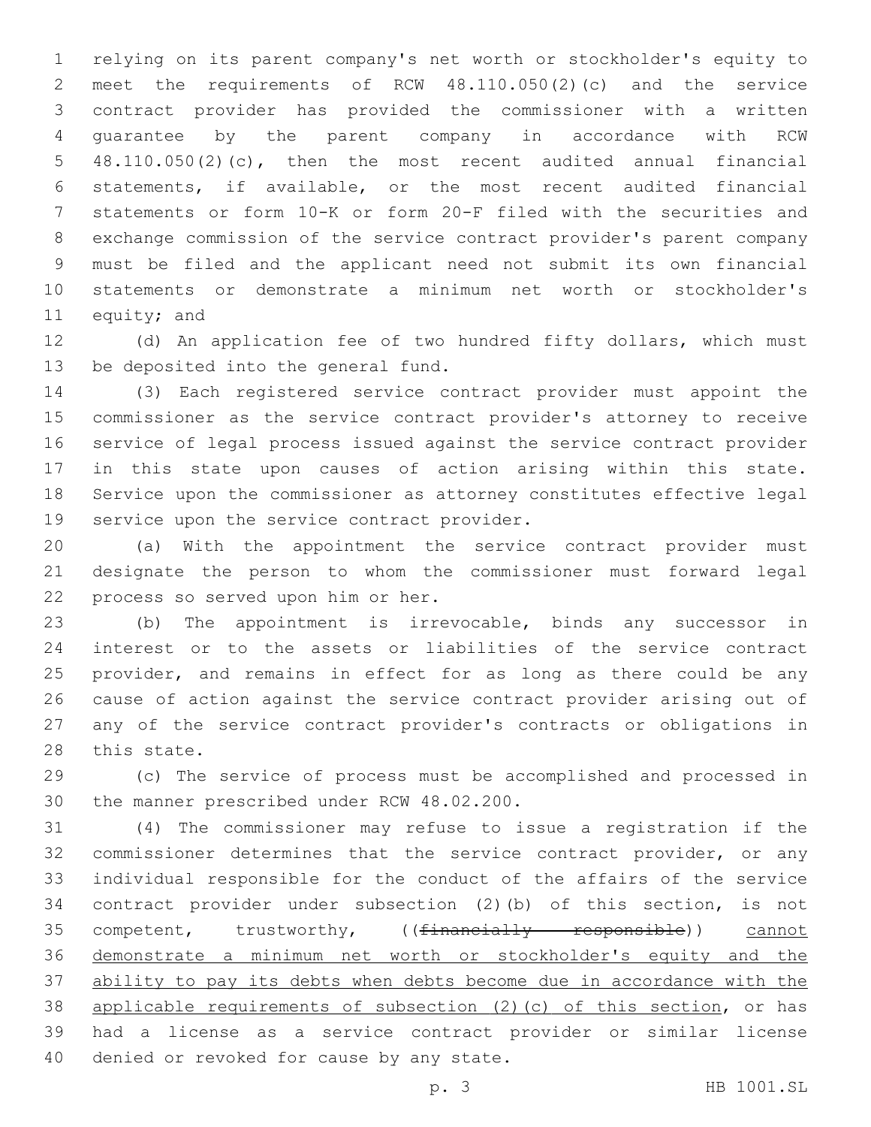relying on its parent company's net worth or stockholder's equity to meet the requirements of RCW 48.110.050(2)(c) and the service contract provider has provided the commissioner with a written guarantee by the parent company in accordance with RCW 48.110.050(2)(c), then the most recent audited annual financial statements, if available, or the most recent audited financial statements or form 10-K or form 20-F filed with the securities and exchange commission of the service contract provider's parent company must be filed and the applicant need not submit its own financial statements or demonstrate a minimum net worth or stockholder's 11 equity; and

 (d) An application fee of two hundred fifty dollars, which must 13 be deposited into the general fund.

 (3) Each registered service contract provider must appoint the commissioner as the service contract provider's attorney to receive service of legal process issued against the service contract provider in this state upon causes of action arising within this state. Service upon the commissioner as attorney constitutes effective legal 19 service upon the service contract provider.

 (a) With the appointment the service contract provider must designate the person to whom the commissioner must forward legal 22 process so served upon him or her.

 (b) The appointment is irrevocable, binds any successor in interest or to the assets or liabilities of the service contract provider, and remains in effect for as long as there could be any cause of action against the service contract provider arising out of any of the service contract provider's contracts or obligations in 28 this state.

 (c) The service of process must be accomplished and processed in 30 the manner prescribed under RCW 48.02.200.

 (4) The commissioner may refuse to issue a registration if the commissioner determines that the service contract provider, or any individual responsible for the conduct of the affairs of the service contract provider under subsection (2)(b) of this section, is not 35 competent, trustworthy, ((financially responsible)) cannot demonstrate a minimum net worth or stockholder's equity and the ability to pay its debts when debts become due in accordance with the applicable requirements of subsection (2)(c) of this section, or has had a license as a service contract provider or similar license 40 denied or revoked for cause by any state.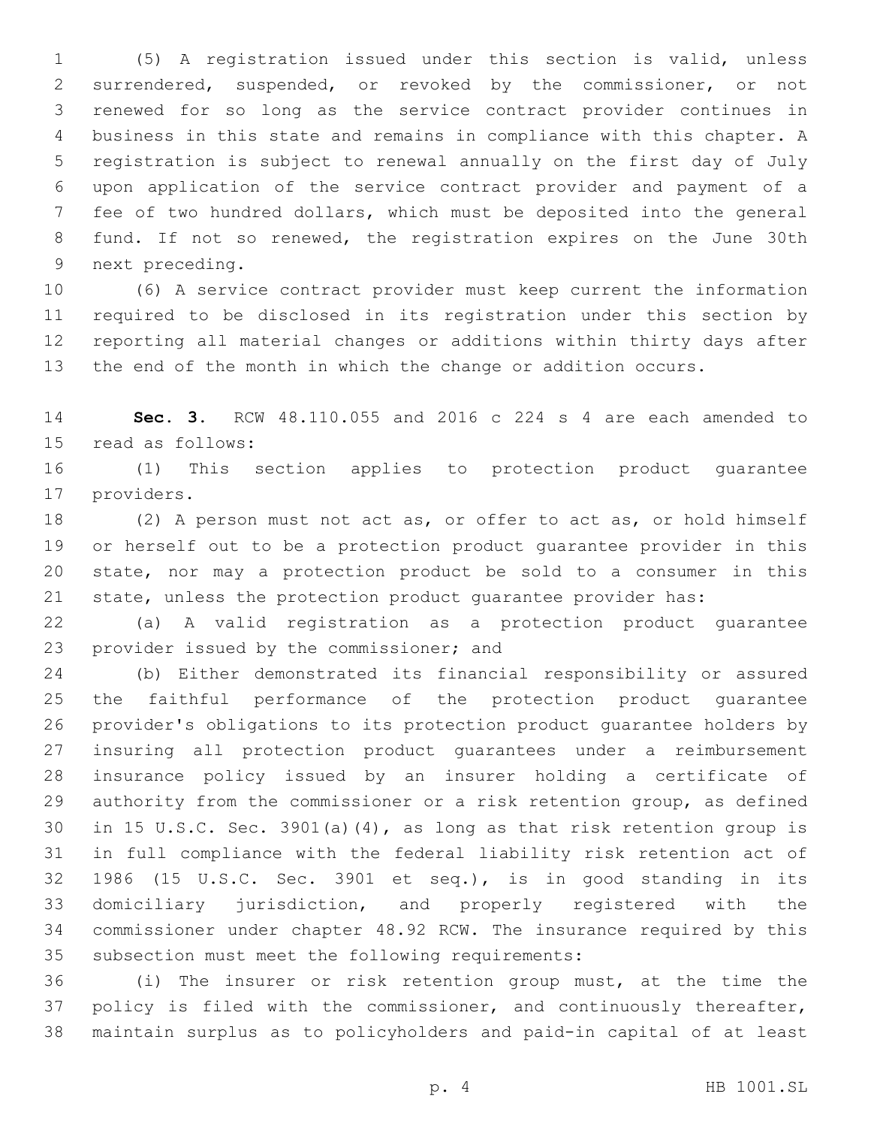(5) A registration issued under this section is valid, unless surrendered, suspended, or revoked by the commissioner, or not renewed for so long as the service contract provider continues in business in this state and remains in compliance with this chapter. A registration is subject to renewal annually on the first day of July upon application of the service contract provider and payment of a fee of two hundred dollars, which must be deposited into the general fund. If not so renewed, the registration expires on the June 30th 9 next preceding.

 (6) A service contract provider must keep current the information required to be disclosed in its registration under this section by reporting all material changes or additions within thirty days after the end of the month in which the change or addition occurs.

 **Sec. 3.** RCW 48.110.055 and 2016 c 224 s 4 are each amended to 15 read as follows:

 (1) This section applies to protection product guarantee 17 providers.

 (2) A person must not act as, or offer to act as, or hold himself or herself out to be a protection product guarantee provider in this state, nor may a protection product be sold to a consumer in this state, unless the protection product guarantee provider has:

 (a) A valid registration as a protection product guarantee 23 provider issued by the commissioner; and

 (b) Either demonstrated its financial responsibility or assured the faithful performance of the protection product guarantee provider's obligations to its protection product guarantee holders by insuring all protection product guarantees under a reimbursement insurance policy issued by an insurer holding a certificate of authority from the commissioner or a risk retention group, as defined in 15 U.S.C. Sec. 3901(a)(4), as long as that risk retention group is in full compliance with the federal liability risk retention act of 1986 (15 U.S.C. Sec. 3901 et seq.), is in good standing in its domiciliary jurisdiction, and properly registered with the commissioner under chapter 48.92 RCW. The insurance required by this 35 subsection must meet the following requirements:

 (i) The insurer or risk retention group must, at the time the policy is filed with the commissioner, and continuously thereafter, maintain surplus as to policyholders and paid-in capital of at least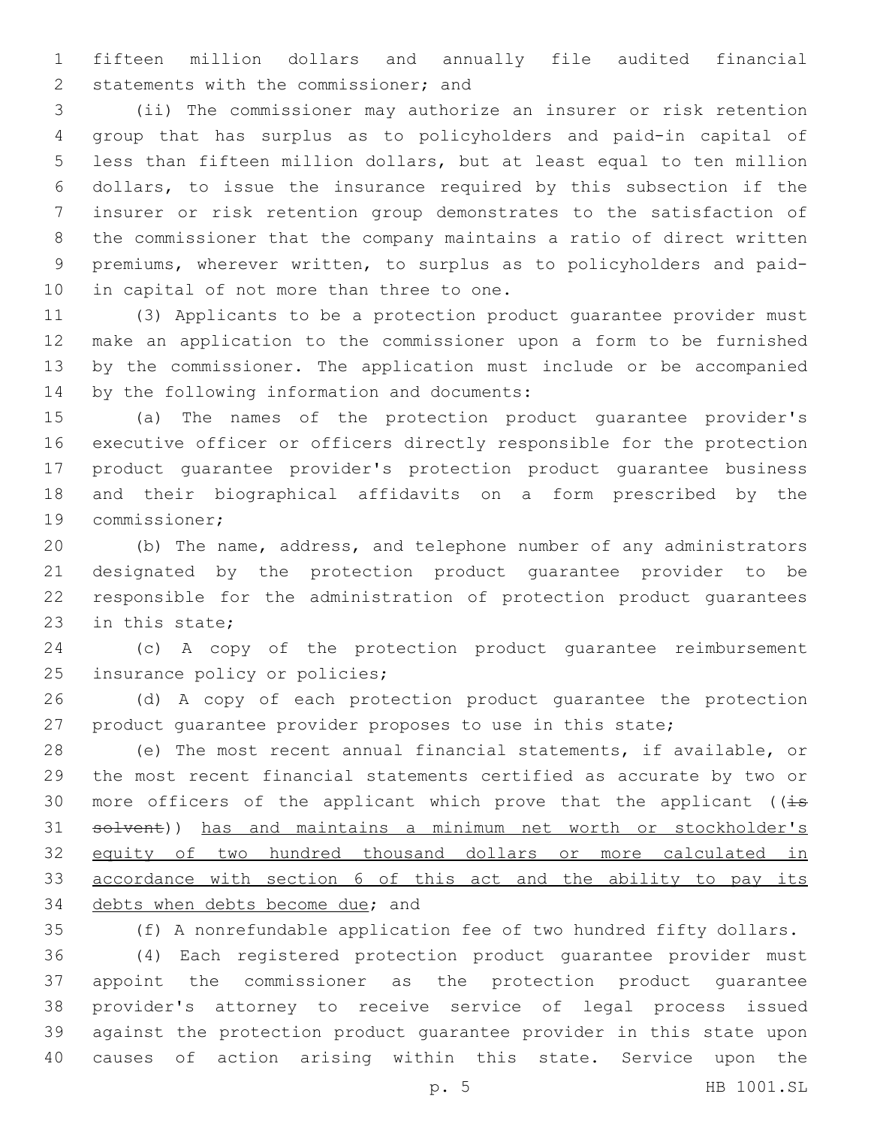fifteen million dollars and annually file audited financial 2 statements with the commissioner; and

 (ii) The commissioner may authorize an insurer or risk retention group that has surplus as to policyholders and paid-in capital of less than fifteen million dollars, but at least equal to ten million dollars, to issue the insurance required by this subsection if the insurer or risk retention group demonstrates to the satisfaction of the commissioner that the company maintains a ratio of direct written premiums, wherever written, to surplus as to policyholders and paid-10 in capital of not more than three to one.

 (3) Applicants to be a protection product guarantee provider must make an application to the commissioner upon a form to be furnished by the commissioner. The application must include or be accompanied 14 by the following information and documents:

 (a) The names of the protection product guarantee provider's executive officer or officers directly responsible for the protection product guarantee provider's protection product guarantee business and their biographical affidavits on a form prescribed by the 19 commissioner;

 (b) The name, address, and telephone number of any administrators designated by the protection product guarantee provider to be responsible for the administration of protection product guarantees 23 in this state;

 (c) A copy of the protection product guarantee reimbursement 25 insurance policy or policies;

 (d) A copy of each protection product guarantee the protection product guarantee provider proposes to use in this state;

 (e) The most recent annual financial statements, if available, or the most recent financial statements certified as accurate by two or 30 more officers of the applicant which prove that the applicant ( $\overline{4s}$  solvent)) has and maintains a minimum net worth or stockholder's equity of two hundred thousand dollars or more calculated in accordance with section 6 of this act and the ability to pay its 34 debts when debts become due; and

 (f) A nonrefundable application fee of two hundred fifty dollars. (4) Each registered protection product guarantee provider must appoint the commissioner as the protection product guarantee provider's attorney to receive service of legal process issued against the protection product guarantee provider in this state upon causes of action arising within this state. Service upon the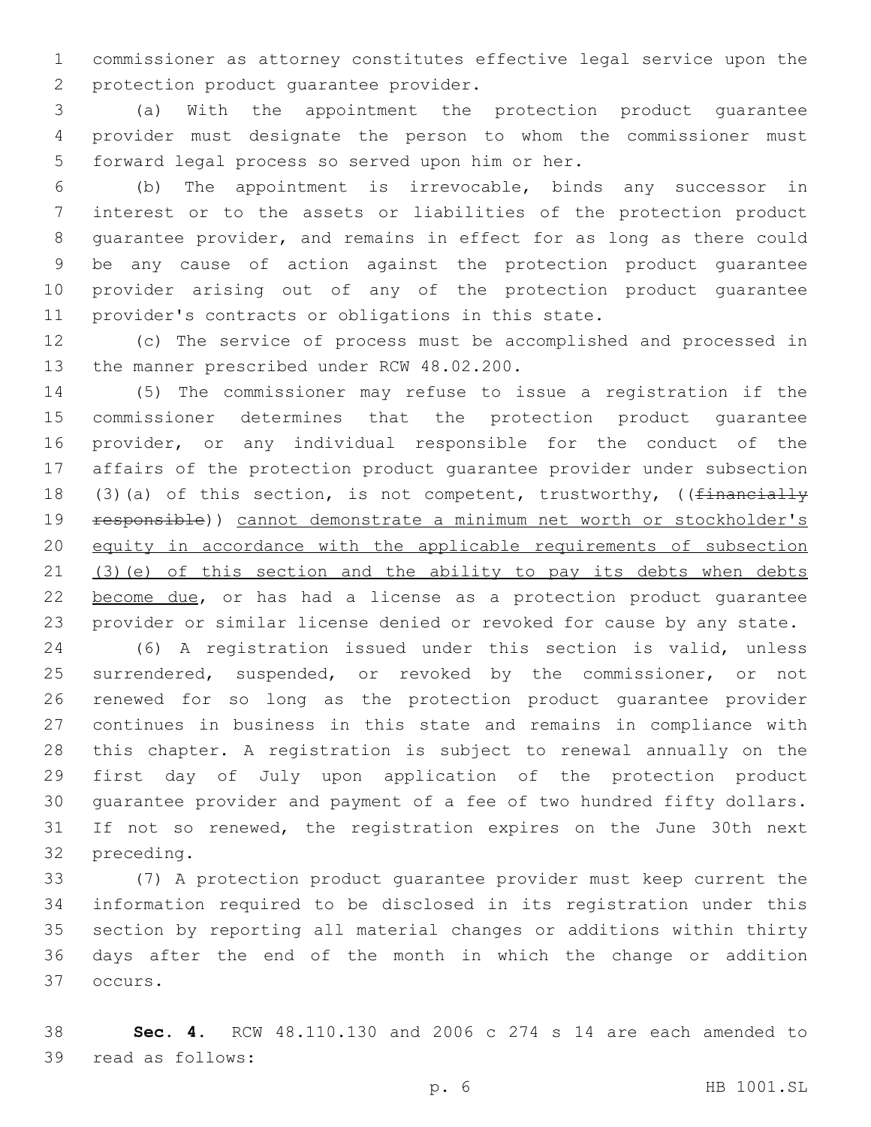commissioner as attorney constitutes effective legal service upon the 2 protection product quarantee provider.

 (a) With the appointment the protection product guarantee provider must designate the person to whom the commissioner must 5 forward legal process so served upon him or her.

 (b) The appointment is irrevocable, binds any successor in interest or to the assets or liabilities of the protection product guarantee provider, and remains in effect for as long as there could be any cause of action against the protection product guarantee provider arising out of any of the protection product guarantee provider's contracts or obligations in this state.

 (c) The service of process must be accomplished and processed in 13 the manner prescribed under RCW 48.02.200.

 (5) The commissioner may refuse to issue a registration if the commissioner determines that the protection product guarantee provider, or any individual responsible for the conduct of the affairs of the protection product guarantee provider under subsection 18 (3)(a) of this section, is not competent, trustworthy, (( $\overline{\text{financially}}$  responsible)) cannot demonstrate a minimum net worth or stockholder's equity in accordance with the applicable requirements of subsection (3)(e) of this section and the ability to pay its debts when debts 22 become due, or has had a license as a protection product quarantee provider or similar license denied or revoked for cause by any state.

 (6) A registration issued under this section is valid, unless surrendered, suspended, or revoked by the commissioner, or not renewed for so long as the protection product guarantee provider continues in business in this state and remains in compliance with this chapter. A registration is subject to renewal annually on the first day of July upon application of the protection product guarantee provider and payment of a fee of two hundred fifty dollars. If not so renewed, the registration expires on the June 30th next 32 preceding.

 (7) A protection product guarantee provider must keep current the information required to be disclosed in its registration under this section by reporting all material changes or additions within thirty days after the end of the month in which the change or addition 37 occurs.

 **Sec. 4.** RCW 48.110.130 and 2006 c 274 s 14 are each amended to 39 read as follows: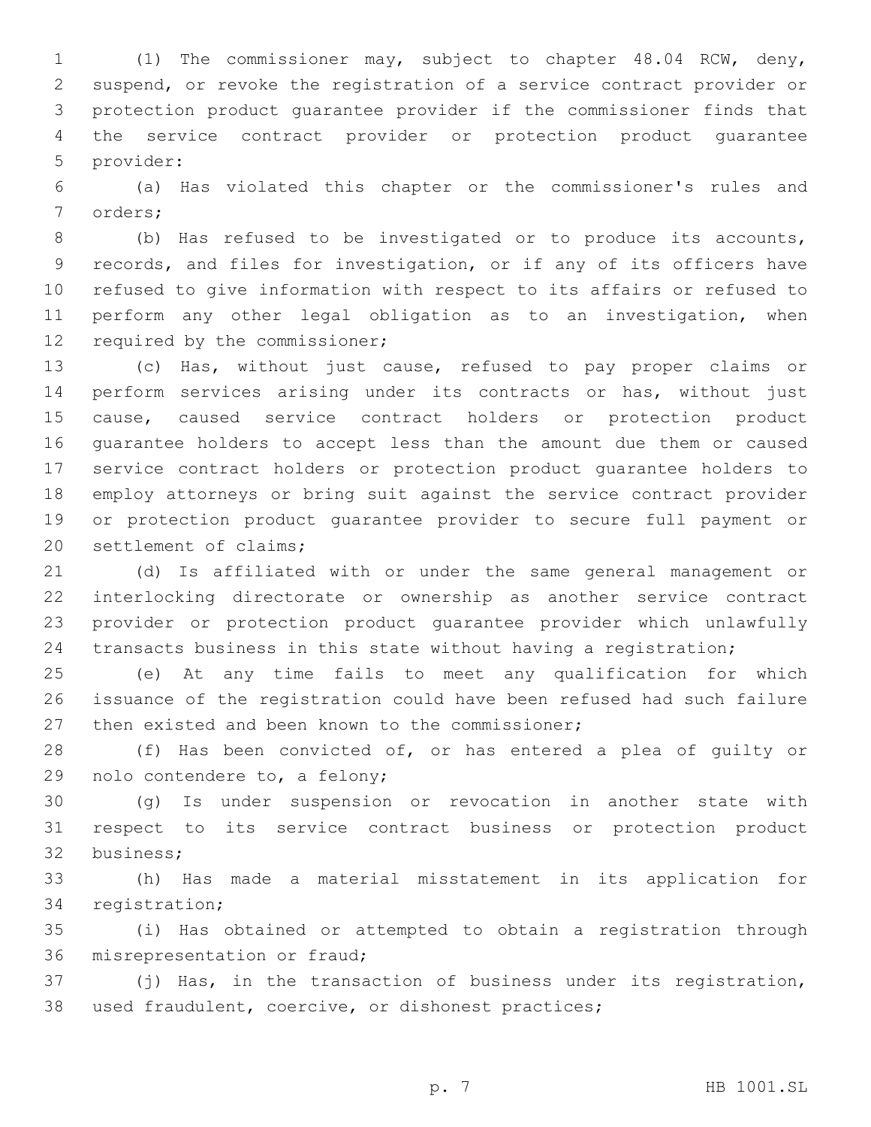(1) The commissioner may, subject to chapter 48.04 RCW, deny, suspend, or revoke the registration of a service contract provider or protection product guarantee provider if the commissioner finds that the service contract provider or protection product guarantee 5 provider:

 (a) Has violated this chapter or the commissioner's rules and 7 orders;

 (b) Has refused to be investigated or to produce its accounts, records, and files for investigation, or if any of its officers have refused to give information with respect to its affairs or refused to perform any other legal obligation as to an investigation, when 12 required by the commissioner;

 (c) Has, without just cause, refused to pay proper claims or perform services arising under its contracts or has, without just cause, caused service contract holders or protection product guarantee holders to accept less than the amount due them or caused service contract holders or protection product guarantee holders to employ attorneys or bring suit against the service contract provider or protection product guarantee provider to secure full payment or 20 settlement of claims;

 (d) Is affiliated with or under the same general management or interlocking directorate or ownership as another service contract provider or protection product guarantee provider which unlawfully transacts business in this state without having a registration;

 (e) At any time fails to meet any qualification for which issuance of the registration could have been refused had such failure 27 then existed and been known to the commissioner;

 (f) Has been convicted of, or has entered a plea of guilty or 29 nolo contendere to, a felony;

 (g) Is under suspension or revocation in another state with respect to its service contract business or protection product 32 business;

 (h) Has made a material misstatement in its application for 34 registration;

 (i) Has obtained or attempted to obtain a registration through 36 misrepresentation or fraud;

 (j) Has, in the transaction of business under its registration, used fraudulent, coercive, or dishonest practices;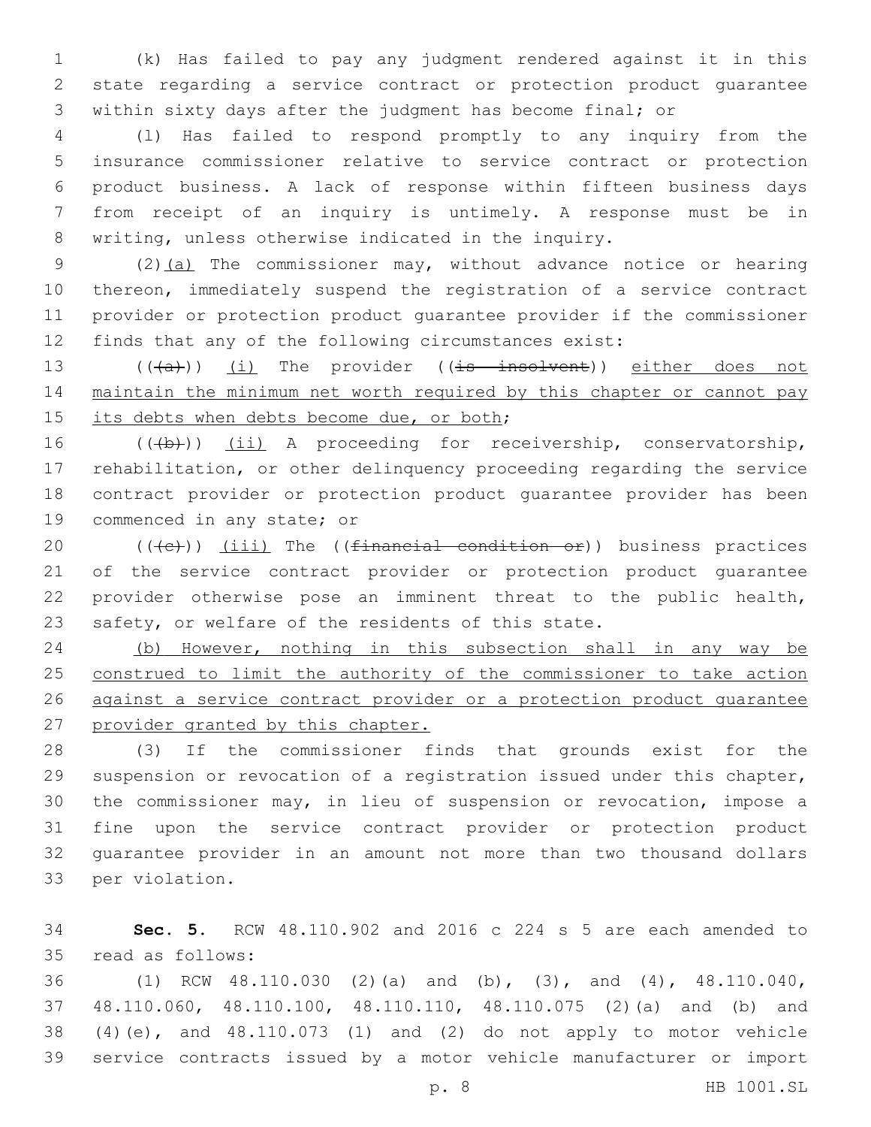(k) Has failed to pay any judgment rendered against it in this state regarding a service contract or protection product guarantee within sixty days after the judgment has become final; or

 (l) Has failed to respond promptly to any inquiry from the insurance commissioner relative to service contract or protection product business. A lack of response within fifteen business days from receipt of an inquiry is untimely. A response must be in writing, unless otherwise indicated in the inquiry.

9 (2)(a) The commissioner may, without advance notice or hearing thereon, immediately suspend the registration of a service contract provider or protection product guarantee provider if the commissioner finds that any of the following circumstances exist:

13 (((a)) (i) The provider ((is insolvent)) either does not 14 maintain the minimum net worth required by this chapter or cannot pay 15 its debts when debts become due, or both;

16 (((b))) (ii) A proceeding for receivership, conservatorship, rehabilitation, or other delinquency proceeding regarding the service contract provider or protection product guarantee provider has been 19 commenced in any state; or

 $((\langle e \rangle)(i \leq 1)$  The  $((\text{finamental condition of}))$  business practices of the service contract provider or protection product guarantee provider otherwise pose an imminent threat to the public health, safety, or welfare of the residents of this state.

 (b) However, nothing in this subsection shall in any way be construed to limit the authority of the commissioner to take action 26 against a service contract provider or a protection product guarantee provider granted by this chapter.

 (3) If the commissioner finds that grounds exist for the suspension or revocation of a registration issued under this chapter, the commissioner may, in lieu of suspension or revocation, impose a fine upon the service contract provider or protection product guarantee provider in an amount not more than two thousand dollars 33 per violation.

 **Sec. 5.** RCW 48.110.902 and 2016 c 224 s 5 are each amended to read as follows:35

 (1) RCW 48.110.030 (2)(a) and (b), (3), and (4), 48.110.040, 48.110.060, 48.110.100, 48.110.110, 48.110.075 (2)(a) and (b) and (4)(e), and 48.110.073 (1) and (2) do not apply to motor vehicle service contracts issued by a motor vehicle manufacturer or import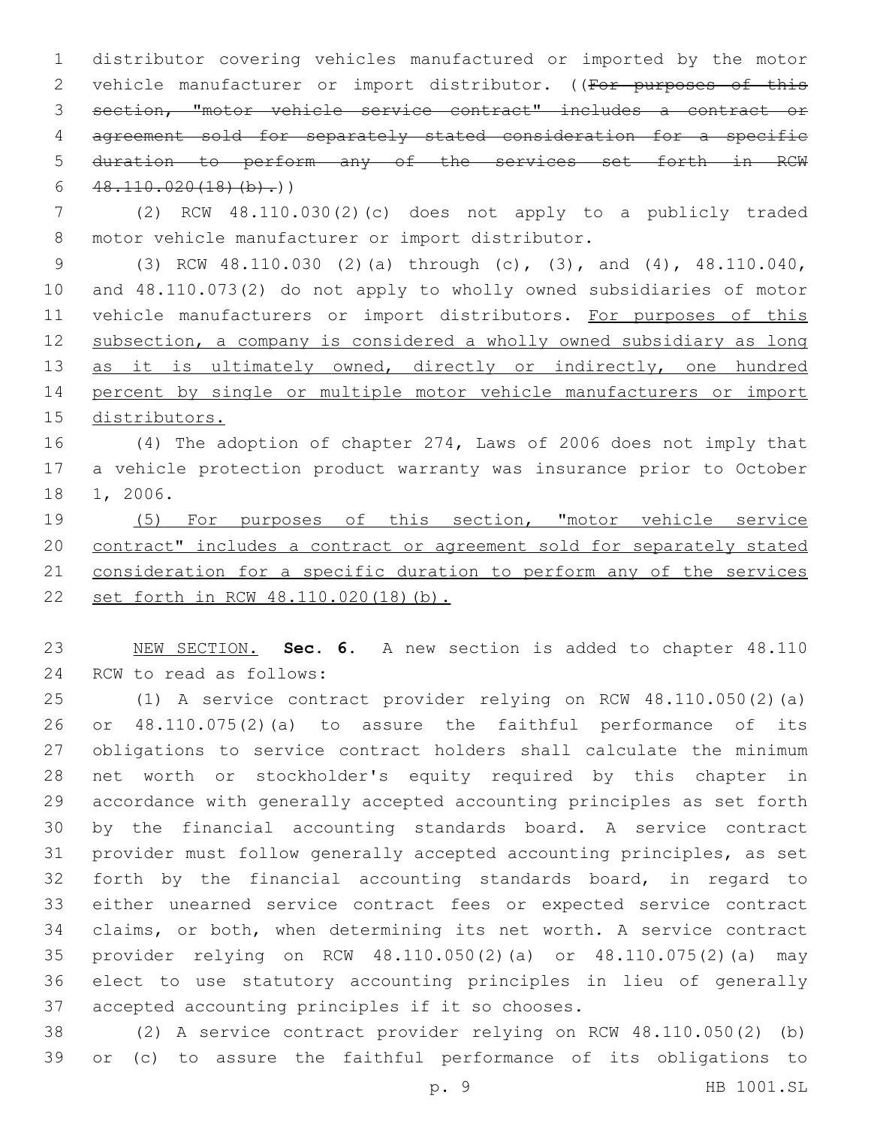distributor covering vehicles manufactured or imported by the motor 2 vehicle manufacturer or import distributor. ((For purposes of this section, "motor vehicle service contract" includes a contract or agreement sold for separately stated consideration for a specific duration to perform any of the services set forth in RCW  $48.110.020(18)(b).)$ 

 (2) RCW 48.110.030(2)(c) does not apply to a publicly traded 8 motor vehicle manufacturer or import distributor.

 (3) RCW 48.110.030 (2)(a) through (c), (3), and (4), 48.110.040, and 48.110.073(2) do not apply to wholly owned subsidiaries of motor 11 vehicle manufacturers or import distributors. For purposes of this subsection, a company is considered a wholly owned subsidiary as long 13 as it is ultimately owned, directly or indirectly, one hundred percent by single or multiple motor vehicle manufacturers or import distributors.

 (4) The adoption of chapter 274, Laws of 2006 does not imply that a vehicle protection product warranty was insurance prior to October 18 1, 2006.

 (5) For purposes of this section, "motor vehicle service contract" includes a contract or agreement sold for separately stated consideration for a specific duration to perform any of the services set forth in RCW 48.110.020(18)(b).

 NEW SECTION. **Sec. 6.** A new section is added to chapter 48.110 24 RCW to read as follows:

 (1) A service contract provider relying on RCW 48.110.050(2)(a) or 48.110.075(2)(a) to assure the faithful performance of its obligations to service contract holders shall calculate the minimum net worth or stockholder's equity required by this chapter in accordance with generally accepted accounting principles as set forth by the financial accounting standards board. A service contract provider must follow generally accepted accounting principles, as set forth by the financial accounting standards board, in regard to either unearned service contract fees or expected service contract claims, or both, when determining its net worth. A service contract provider relying on RCW 48.110.050(2)(a) or 48.110.075(2)(a) may elect to use statutory accounting principles in lieu of generally 37 accepted accounting principles if it so chooses.

 (2) A service contract provider relying on RCW 48.110.050(2) (b) or (c) to assure the faithful performance of its obligations to